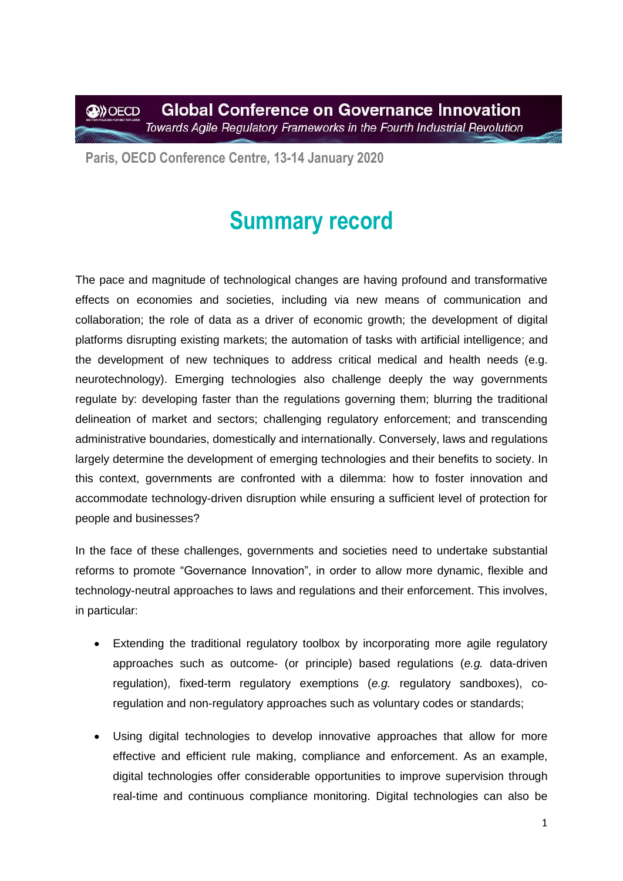**Global Conference on Governance Innovation ANDECD** Towards Agile Regulatory Frameworks in the Fourth Industrial Revolution

 **Paris, OECD Conference Centre, 13-14 January 2020**

## **Summary record**

The pace and magnitude of technological changes are having profound and transformative effects on economies and societies, including via new means of communication and collaboration; the role of data as a driver of economic growth; the development of digital platforms disrupting existing markets; the automation of tasks with artificial intelligence; and the development of new techniques to address critical medical and health needs (e.g. neurotechnology). Emerging technologies also challenge deeply the way governments regulate by: developing faster than the regulations governing them; blurring the traditional delineation of market and sectors; challenging regulatory enforcement; and transcending administrative boundaries, domestically and internationally. Conversely, laws and regulations largely determine the development of emerging technologies and their benefits to society. In this context, governments are confronted with a dilemma: how to foster innovation and accommodate technology-driven disruption while ensuring a sufficient level of protection for people and businesses?

In the face of these challenges, governments and societies need to undertake substantial reforms to promote "Governance Innovation", in order to allow more dynamic, flexible and technology-neutral approaches to laws and regulations and their enforcement. This involves, in particular:

- Extending the traditional regulatory toolbox by incorporating more agile regulatory approaches such as outcome- (or principle) based regulations (*e.g.* data-driven regulation), fixed-term regulatory exemptions (*e.g.* regulatory sandboxes), coregulation and non-regulatory approaches such as voluntary codes or standards;
- Using digital technologies to develop innovative approaches that allow for more effective and efficient rule making, compliance and enforcement. As an example, digital technologies offer considerable opportunities to improve supervision through real-time and continuous compliance monitoring. Digital technologies can also be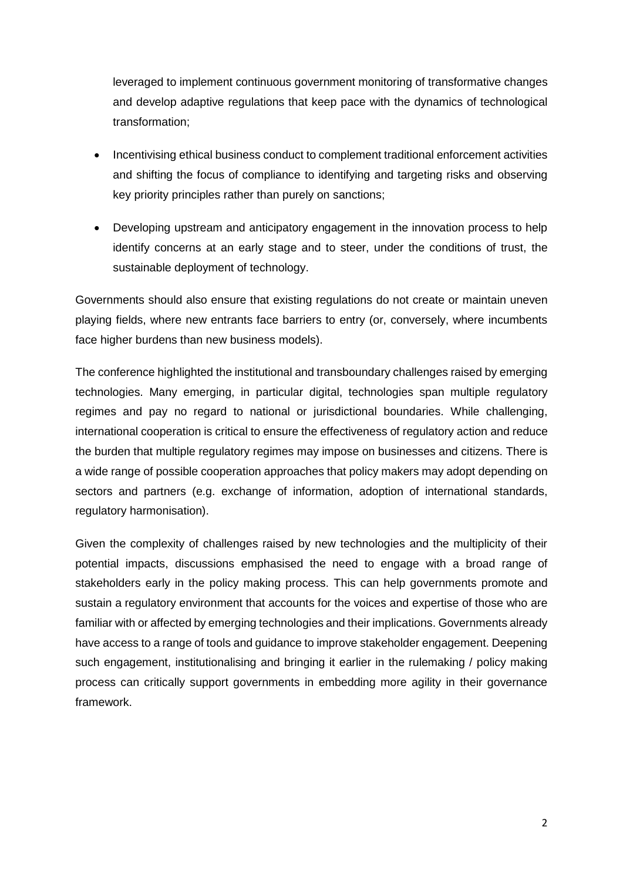leveraged to implement continuous government monitoring of transformative changes and develop adaptive regulations that keep pace with the dynamics of technological transformation;

- Incentivising ethical business conduct to complement traditional enforcement activities and shifting the focus of compliance to identifying and targeting risks and observing key priority principles rather than purely on sanctions;
- Developing upstream and anticipatory engagement in the innovation process to help identify concerns at an early stage and to steer, under the conditions of trust, the sustainable deployment of technology.

Governments should also ensure that existing regulations do not create or maintain uneven playing fields, where new entrants face barriers to entry (or, conversely, where incumbents face higher burdens than new business models).

The conference highlighted the institutional and transboundary challenges raised by emerging technologies. Many emerging, in particular digital, technologies span multiple regulatory regimes and pay no regard to national or jurisdictional boundaries. While challenging, international cooperation is critical to ensure the effectiveness of regulatory action and reduce the burden that multiple regulatory regimes may impose on businesses and citizens. There is a wide range of possible cooperation approaches that policy makers may adopt depending on sectors and partners (e.g. exchange of information, adoption of international standards, regulatory harmonisation).

Given the complexity of challenges raised by new technologies and the multiplicity of their potential impacts, discussions emphasised the need to engage with a broad range of stakeholders early in the policy making process. This can help governments promote and sustain a regulatory environment that accounts for the voices and expertise of those who are familiar with or affected by emerging technologies and their implications. Governments already have access to a range of tools and guidance to improve stakeholder engagement. Deepening such engagement, institutionalising and bringing it earlier in the rulemaking / policy making process can critically support governments in embedding more agility in their governance framework.